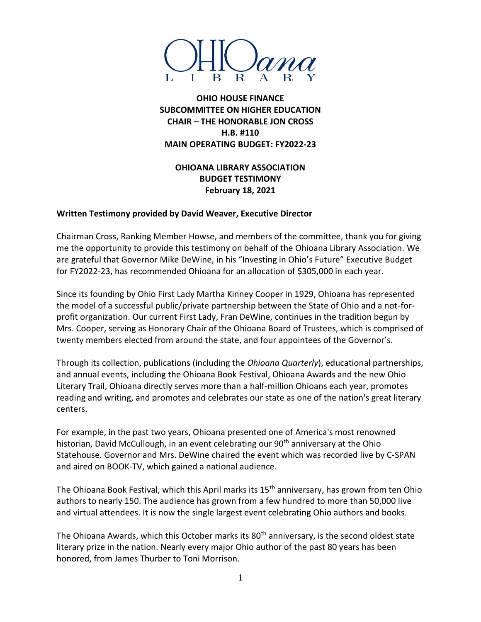

**OHIO HOUSE FINANCE SUBCOMMITTEE ON HIGHER EDUCATION CHAIR – THE HONORABLE JON CROSS H.B. #110 MAIN OPERATING BUDGET: FY2022-23**

## **OHIOANA LIBRARY ASSOCIATION BUDGET TESTIMONY February 18, 2021**

## **Written Testimony provided by David Weaver, Executive Director**

Chairman Cross, Ranking Member Howse, and members of the committee, thank you for giving me the opportunity to provide this testimony on behalf of the Ohioana Library Association. We are grateful that Governor Mike DeWine, in his "Investing in Ohio's Future" Executive Budget for FY2022-23, has recommended Ohioana for an allocation of \$305,000 in each year.

Since its founding by Ohio First Lady Martha Kinney Cooper in 1929, Ohioana has represented the model of a successful public/private partnership between the State of Ohio and a not-forprofit organization. Our current First Lady, Fran DeWine, continues in the tradition begun by Mrs. Cooper, serving as Honorary Chair of the Ohioana Board of Trustees, which is comprised of twenty members elected from around the state, and four appointees of the Governor's.

Through its collection, publications (including the *Ohioana Quarterly*), educational partnerships, and annual events, including the Ohioana Book Festival, Ohioana Awards and the new Ohio Literary Trail, Ohioana directly serves more than a half-million Ohioans each year, promotes reading and writing, and promotes and celebrates our state as one of the nation's great literary centers.

For example, in the past two years, Ohioana presented one of America's most renowned historian, David McCullough, in an event celebrating our 90<sup>th</sup> anniversary at the Ohio Statehouse. Governor and Mrs. DeWine chaired the event which was recorded live by C-SPAN and aired on BOOK-TV, which gained a national audience.

The Ohioana Book Festival, which this April marks its 15<sup>th</sup> anniversary, has grown from ten Ohio authors to nearly 150. The audience has grown from a few hundred to more than 50,000 live and virtual attendees. It is now the single largest event celebrating Ohio authors and books.

The Ohioana Awards, which this October marks its 80<sup>th</sup> anniversary, is the second oldest state literary prize in the nation. Nearly every major Ohio author of the past 80 years has been honored, from James Thurber to Toni Morrison.